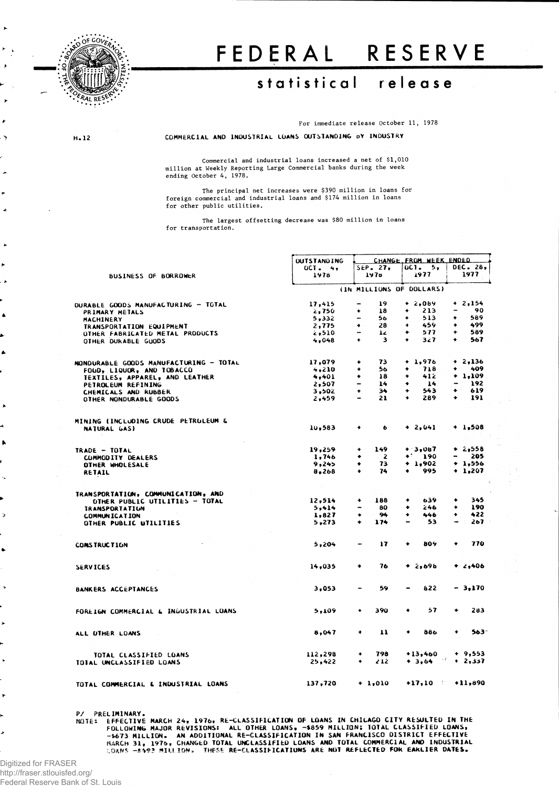

# FEDERAL RESERVE

## **statistica l releas e**

For immediate release October 11, 1978

**> H.12 COMMERCIAL AND INDUSTRIAL LOANS OUTSTANDING O**Y **INDUSTRY**

Commercial and industrial loans increased a net of \$1,010 million at Weekly Reporting Large Commercial banks during the week ending October 4, 1978.

The principal net increases were \$390 million in loans for foreign commercial and industrial loans and \$174 million in loans for other public utilities.

The largest offsetting decrease was \$80 million in loans for transportation.

|                       |                                        | <b>OUTSTANDING</b> |                                    | CHANGE FROM WEEK ENDED   |                                     |
|-----------------------|----------------------------------------|--------------------|------------------------------------|--------------------------|-------------------------------------|
| ٠                     |                                        | $0C$ $42$          | $SEP$ . 27,                        | $0C1 - 5$                | DEC. 28,                            |
|                       | <b>BUSINESS OF BORROWER</b>            | 1978               | 1978                               | 1977                     | 1977                                |
| ۰,                    |                                        |                    |                                    | (IN MILLIONS OF DOLLARS) |                                     |
|                       |                                        |                    |                                    |                          |                                     |
|                       | DURABLE GOODS MANUFACTURING - TOTAL    | 17,415             | 19<br>-                            | $+2,089$                 | $+ 2,154$                           |
| $\blacktriangle$      | PRIMARY METALS                         | 2,750              | 18<br>۰                            | 213<br>۰                 | 90<br>$\overline{\phantom{a}}$      |
|                       | MACHINERY                              | 5,332              | 56<br>-                            | 513<br>٠                 | 589<br>٠                            |
|                       | TRANSPORTATION EQUIPMENT               | 2,775              | 28<br>۰                            | 459<br>۰                 | 499<br>٠                            |
|                       | OTHER FABRICATED METAL PRODUCTS        | 510ء ت             | 1z<br>-                            | 577<br>٠                 | 589<br>٠                            |
|                       | OTHER DURABLE GUODS                    | 4,048              | 3<br>$\ddot{\phantom{1}}$          | 327<br>۰                 | ٠<br>567                            |
| ۸                     |                                        |                    |                                    |                          |                                     |
|                       |                                        |                    |                                    |                          |                                     |
|                       | NONDURABLE GOODS MANUFACTURING - TOTAL | 17,079             | 73<br>۰                            | $+ 1,976$                | $+2,136$                            |
|                       | FOUD, LIQUOR, AND TOBACCO              | 4,210              | 56<br>٠                            | 718<br>٠                 | ۰<br>409                            |
|                       | TEXTILES, APPAREL, AND LEATHER         | 4,401              | 18<br>٠                            | 412<br>۰                 | $+ 1,109$                           |
|                       | PETROLEUM REFINING                     | 2,507              | 14<br>$\qquad \qquad \blacksquare$ | 14<br>٠                  | 192<br>$\overline{\phantom{0}}$     |
|                       | CHEMICALS AND RUBBER                   | 3,502              | 34<br>٠                            | 543<br>۰                 | ٠<br>619                            |
|                       | OTHER NONDURABLE GOODS                 | 2,459              | 21                                 | 289                      | 191<br>۰                            |
| $\blacktriangleright$ |                                        |                    |                                    |                          |                                     |
|                       |                                        |                    |                                    |                          |                                     |
| 4                     | MINING (INCLUDING CRUDE PETRULEUM &    |                    |                                    |                          |                                     |
|                       | NATURAL GAS)                           | 10,583             | ٠<br>$\bullet$                     | $+ 2,041$                | $+ 1,508$                           |
| ۰.                    |                                        |                    |                                    |                          |                                     |
|                       | TRADE - TOTAL                          | 19,259             | 149<br>۰                           | $+3,087$                 | $+ 2,558$                           |
|                       | COMMODITY DEALERS                      | 1,746              | 2<br>٠                             | $*190$                   | 205<br>$\qquad \qquad \blacksquare$ |
|                       |                                        | 9,245              | 73<br>۰                            | $+ 1,902$                | $+ 1,556$                           |
|                       | OTHER WHOLESALE                        |                    | 74<br>$\bullet$                    | 995<br>٠                 | $+ 1,207$                           |
| ۰.                    | RETAIL                                 | 8,268              |                                    |                          |                                     |
|                       |                                        | $\sim 10^{-1}$     |                                    |                          |                                     |
|                       | TRANSPORTATION, COMMUNICATION, AND     |                    |                                    |                          |                                     |
|                       | OTHER PUBLIC UTILITIES - TOTAL         | 12,514             | 188                                | 639<br>۰                 | 345<br>۰                            |
|                       | <b><i>IRANSPORTATION</i></b>           | 5,414              | 80                                 | 246<br>۰                 | 190<br>۰                            |
| $\rightarrow$         | <b>COMMUNICATION</b>                   | 1,827              | 94<br>٠                            | ۰<br>446                 | 422<br>٠                            |
|                       | OTHER PUBLIC UTILITIES                 | 5,273              | 174<br>٠                           | 53<br>-                  | 267<br>$\overline{\phantom{0}}$     |
|                       |                                        |                    |                                    |                          |                                     |
|                       |                                        |                    |                                    |                          |                                     |
| ٠                     | <b>CONSTRUCTION</b>                    | 5,204              | 17                                 | 809<br>۰                 | 770<br>٠                            |
|                       |                                        |                    |                                    |                          |                                     |
|                       | <b>SERVICES</b>                        | 14,035             | 76<br>۰                            | $+2,696$                 | $+2,406$                            |
|                       |                                        |                    |                                    |                          |                                     |
| $\,$                  | <b>BANKERS ACCEPTANCES</b>             | 3,053              | 59<br>$\overline{\phantom{a}}$     | 822                      | - 3.170                             |
|                       |                                        |                    |                                    |                          |                                     |
|                       |                                        |                    | 390<br>٠                           | 57<br>۰                  | 283<br>٠                            |
|                       | FOREIGN COMMERCIAL & INDUSTRIAL LOANS  | 5,109              |                                    |                          |                                     |
| $\blacktriangleright$ |                                        |                    |                                    |                          |                                     |
|                       | ALL UTHER LOANS                        | 8,047              | 11<br>۰                            | ٠<br>886                 | ٠<br>$563 -$                        |
|                       |                                        |                    |                                    |                          |                                     |
|                       | TOTAL CLASSIFIED LOANS                 | 112,298            | 798<br>۰                           | $+13,460$                | $+ 9,553$                           |
| ×                     | TOTAL UNCLASSIFIED LOANS               | 25,422             | 212<br>۰                           | $+3,64$ $+2,337$         |                                     |
|                       |                                        |                    |                                    |                          |                                     |
|                       | TOTAL COMMERCIAL & INDUSTRIAL LOANS    | 137,720            | $+ 1,010$                          |                          | $+17,10 +11,890$                    |
|                       |                                        |                    |                                    |                          |                                     |

**PRELIMINAT.**<br>MOTE: EFFECTIVE MARCH 24, 1976, RE-CLASSIFICATION OF LOANS IN CHICAGO CITY RESULTED IN THE<br>FOLLOWING MAJOR REVISIONS: ALL OTHER LOANS, -\$859 MILLION; IOTAL CLASSIFIED LOANS,<br>FOLLOWING MAJOR REVISIONS: ALL OTH

Digitized for FRASER http://fraser.stlouisfed.org/ Federal Reserve Bank of St. Louis

 $\overline{ }$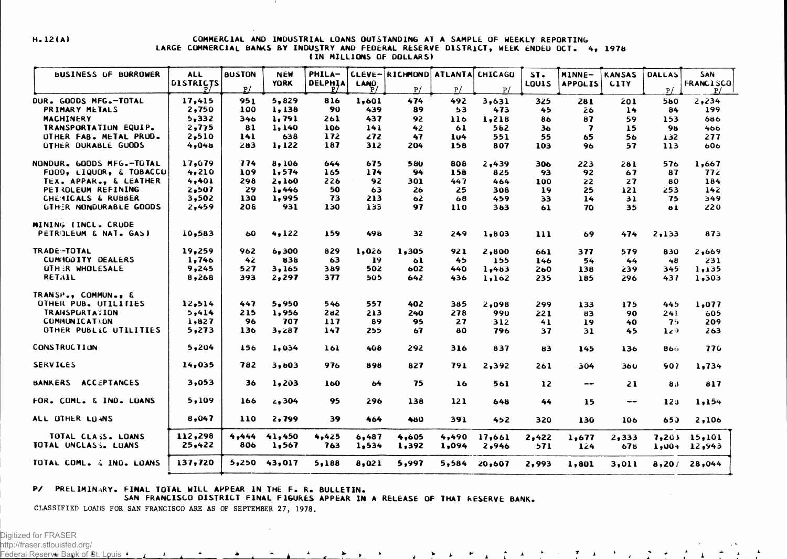#### **H.12(A ) COMMERCIAL AND INDUSTRIAL LOANS OUTSTANDING AT A SAMPLE OF WEEKLY REPORTING** LARGE COMMERCIAL BANKS BY INDUSTRY AND FEDERAL RESERVE DISTRICT, WEEK ENDED OCT. 4, 1978 **(IN MILLIONS OF DOLLARS!**

| <b>BUSINESS OF BORROWER</b>          | <b>ALL</b>       | <b>BUSTON</b> | <b>NEW</b>  | PHILA-         |             | CLEVE-RICHMOND ATLANTA CHICAGO |       |        | $ST-$           | MINNE-         | <b>KANSAS</b>          | <b>DALLAS</b>   | SAN              |
|--------------------------------------|------------------|---------------|-------------|----------------|-------------|--------------------------------|-------|--------|-----------------|----------------|------------------------|-----------------|------------------|
|                                      | <b>DISTRICTS</b> |               | <b>YORK</b> | <b>DELPHIA</b> | <b>LAND</b> |                                |       |        | LOUIS           | <b>APPOLIS</b> | <b>CITY</b>            |                 | <b>FRANCISCO</b> |
|                                      |                  | P/            |             |                |             | P/                             | P/    | P/     |                 |                |                        | P/              | P/               |
| DUR. GOODS MFG.-TOTAL                | 17,415           | 951           | $5 - 829$   | 816            | 1.601       | 474                            | 492   | 3,631  | 325             | 281            | 201                    | 560             | 2,234            |
| PRIMARY METALS                       | 2,750            | 100           | 1,138       | 90             | 439         | 89                             | 53    | 473    | 45              | 26             | 14                     | 84              | 199              |
| <b>MACHINERY</b>                     | 5,332            | 346           | 1,791       | 261            | 437         | 92                             | 116   | 1,218  | 86              | 87             | 59                     | 153             | 686              |
| TRANSPORTATION EQUIP.                | 2,775            | 81            | 1,140       | 106            | 141         | 42                             | 61    | 562    | 36              | 7              | 15                     | 98              | 466              |
| OTHER FAB. METAL PROD.               | 2,510            | 141           | 638         | 172            | 272         | 47                             | 104   | 551    | 55              | 65             | 56                     | 132             | 277              |
| OTHER DURABLE GUODS                  | 4,048            | 283           | 1,122       | 187            | 312         | 204                            | 158   | 807    | 103             | 96             | 57                     | 113             | 606              |
| NONDUR. GOODS MFG.-TOTAL             | 17,679           | 774           | 8,106       | 644            | 675         | 580                            | 808   | 2,439  | 306             | 223            | 281                    | 576             | 1,667            |
| FOOD, LIQUOR, & TOBACCU              | 4,210            | 109           | 1,574       | 165            | 174         | 94                             | 158   | 825    | 93              | 92             | 67                     | 87              | 772              |
| TEX. APPAR., & LEATHER               | 4,401            | 298           | 2,160       | 226            | 92          | 301                            | 447   | 464    | 100             | 22             | 27                     | 80              | 184              |
| PETROLEUM REFINING                   | 2,507            | 29            | 1,446       | 50             | 63          | 26                             | 25    | 308    | 19              | 25             | 121                    | 253             | 142              |
| CHEMICALS & RUBBER                   | 3,502            | 130           | 1,995       | 73             | 213         | 62                             | 68    | 459    | 33              | 14             | 31                     | 75              | 349              |
| <b>OTHER NONDURABLE GOODS</b>        | 2,459            | 208           | 931         | 130            | 133         | 97                             | 110   | 383    | 61              | 70             | 35                     | <b>bl</b>       | 220              |
| MINING (INCL. CRUDE                  |                  |               |             |                |             |                                |       |        |                 |                |                        |                 |                  |
| <b>PETROLEUM &amp; NAT. GAS)</b>     | 10,583           | 60            | 4,122       | 159            | 498         | 32                             | 249   | 1,803  | 111             | 69             | 474                    | 2,133           | 873              |
| TRADE-TOTAL                          | 19,259           | 962           | 6,300       | 829            | 1,026       | 1,305                          | 921   | 2,800  | 661             | 377            | 579                    | 830             | 2,669            |
| CUMICOITY DEALERS                    | 1,746            | 42            | 838         | 63             | 19          | 61                             | 45    | 155    | 146             | 54             | 44                     | 48              | 231              |
| OTHER WHOLESALE                      | 9,245            | 527           | 3,165       | 389            | 502         | 602                            | 440   | 1,463  | 260             | 138            | 239                    | 345             | 1,135            |
| <b>RETAIL</b>                        | 8,268            | 393           | 2,297       | 377            | 505         | 642                            | 436   | 1,162  | 235.            | 185            | 296                    | 437             | 1,303            |
| TRANSP., COMMUN., &                  |                  |               |             |                |             |                                |       |        |                 |                |                        |                 |                  |
| OTHER PUB. UTILITIES                 | 12,514           | 447           | 5,950       | 546            | 557         | 402                            | 385   | 2,098  | 299             | 133            | 175                    | 445             | 1,077            |
| <b>TRANSPURTATION</b>                | 5,414            | 215           | 1,956       | 282            | 213         | 240                            | 278   | 990    | 221             | 83             | 90                     | 241             | 605              |
| <b>COMMUNICATION</b>                 | 1,827            | 96            | 707         | 117            | 89          | 95                             | 27    | 312    | 41              | 19             | 40                     | 75.             | 209              |
| <b>OTHER PUBLIC UTILITIES</b>        | 5,273            | 136           | 3,287       | 147            | 255         | 67                             | 80    | 796    | 37              | 31             | 45                     | 129             | 263              |
| <b>CONSTRUCTION</b>                  | 5,204            | 156           | 1,034       | 161            | 408         | 292                            | 316   | 837    | 83              | 145            | 136                    | 866             | 776              |
| <b>SERVICES</b>                      | 14,035           | 782           | 3,603       | 976            | 898         | 827                            | 791   | 2,392  | 261             | 304            | 360                    | 907             | 1,734            |
| <b>BANKERS</b><br><b>ACCEPTANCES</b> | 3,053            | 36            | 1,203       | 160            | 64          | 75                             | 16    | 561    | $\overline{12}$ | --             | 21                     | 83              | 817              |
| FOR. COML. & IND. LOANS              | 5,109            | 166           | 2,304       | 95             | 296         | 138                            | 121   | 648    | 44              | 15             | $\qquad \qquad \cdots$ | 12 <sub>3</sub> | 1,154            |
| ALL OTHER LOANS                      | 8,047            | 110           | 2,799       | 39             | 464         | 480                            | 391   | 452    | 320             | 130            | 106                    | 650             | 2,106            |
| TOTAL CLASS. LOANS                   | 112,298          | 4,444         | 41,450      | 4,425          | 6,487       | 4,605                          | 4,490 | 17,661 | 2,422           | 1,677          | 2,333                  | 7,203           | 15,101           |
| TOTAL UNCLASS. LOANS                 | 25,422           | 806           | 1,567       | 763            | 1,534       | 1,392                          | 1,094 | 2,946  | 571             | 124            | 678                    |                 | $1,004$ $12,943$ |
| TOTAL COML. & IND. LOANS             | 137,720          | 5,250         | 43,017      | 5,188          | 8,021       | 5,997                          | 5,584 | 20,607 | 2,993           | 1,801          | 3,011                  |                 | $8,201$ 28,044   |
|                                      |                  |               |             |                |             |                                |       |        |                 |                |                        |                 |                  |

ماج الراقاط الإنام القانين القانونية القانونية الدارية المارية

### **P/ PRELIMINARY. FINAL TOTAL WILL APPEAR IN THE F. R. BULLETIN.**

 $\leftarrow$ 

**SAN FRANCISCO DISTRICT FINAL FIGURES APPEAR IN A RELEASE OF THAT RESERVE BANK.**

**CLASSIFIED LOAIIS FOR SAN FRANCISCO ARE AS OF SEPTEMBER 27, 1978.**

 $\mathbf{A} = \mathbf{A} + \mathbf{A}$ 

Digitized for FRASER

http://fraser.stlouisfed.org/ Federal Reserve Bank of St. Louis A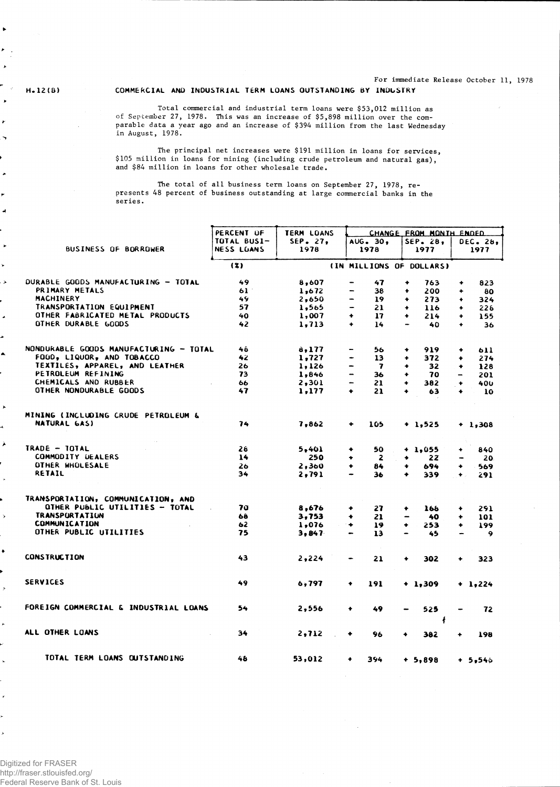**For immediate Release October 11, 1978**

•

 $\overline{\phantom{a}}$ F  $\mathbf{v}$  $\blacktriangleright$ 

¥  $\overline{\phantom{a}}$ 

 $\mathbf{r}$ 

 $\overline{a}$ 

 $\overline{\phantom{a}}$ 

**\*** 

è

**>** 

J

٠

#### **H.12(B) COMMERCIAL AND INDUSTRIAL TERM LOANS OUTSTANDING BY INDUSTRY**

**Total commercial and industrial term loans were \$53,012 million as** of **September 27, 1978. This was an increase of \$5,898 million over the comparable data a year ago and an increase of \$394 million from the last Wednesday in August, 1978.**

**The principal net increases were \$191 million in loans for services, \$105 million in loans for mining (including crude petroleum and natural gas), and \$84 million in loans for other wholesale trade.**

**The total of all business term loans on September 27, 1978, represents 48 percent of business outstanding at large commercial banks in the series.** 

|                       |                                        | PERCENT OF  | TERM LOANS |                                                     | CHANGE FROM MONTH ENDED     |             |           |
|-----------------------|----------------------------------------|-------------|------------|-----------------------------------------------------|-----------------------------|-------------|-----------|
|                       |                                        | TOTAL BUSI- | SEP. 27,   | AUG. 30.                                            | SEP. 28,                    |             | DEC. 28.  |
| ٠                     | BUSINESS OF BORROWER                   | NESS LUANS  | 1978       | 1978                                                | 1977                        |             | 1977      |
|                       |                                        |             |            |                                                     |                             |             |           |
| r                     |                                        | (3)         |            |                                                     | (IN MILLIONS OF DOLLARS)    |             |           |
| $\blacktriangleright$ | DURABLE GOODS MANUFACTURING - TOTAL    | 49          | 8,607      | 47<br>$\overline{\phantom{0}}$                      | $\ddotmark$<br>763          | ٠           | 823       |
|                       | PRIMARY METALS                         | 61          | 1,672      | 38                                                  | 200<br>$\ddot{\phantom{1}}$ | ٠           | 80        |
|                       | MACHINERY                              | 49          | 2,650      | 19<br>$\overline{\phantom{a}}$                      | 273<br>۰                    | ٠           | 324       |
|                       | TRANSPORTATION EQUIPMENT               | 57          | 1,565      | 21                                                  | 116<br>$\bullet$            | $\bullet$   | 226       |
|                       | OTHER FABRICATED METAL PRODUCTS        | 40          | 1,007      | 17<br>۰                                             | 214<br>۰                    | ۰           | 155       |
| é                     | OTHER DURABLE GOODS                    | 42          |            | ٠                                                   | $\overline{\phantom{0}}$    |             |           |
|                       |                                        |             | 1,713      | 14                                                  | 40                          | ۰           | 36        |
|                       | NONDURABLE GOODS MANUFACTURING - TOTAL | 46          | a, 177     | 56                                                  | 919<br>۰                    |             | 611       |
|                       | FOGO, LIQUOR, AND TOBACCO              | 42          |            |                                                     |                             | ۰           |           |
|                       |                                        |             | 1,727      | 13<br>-                                             | 372<br>$\bullet$            | ۰           | 274       |
|                       | TEXTILES, APPAREL, AND LEATHER         | 26          | 1,126      | $\overline{\mathbf{z}}$<br>$\overline{\phantom{0}}$ | 32<br>۰                     | ۰           | 128       |
|                       | PETROLEUM REFINING                     | 73          | 1,846      | $\qquad \qquad \blacksquare$<br>36                  | 70<br>٠                     | -           | 201       |
|                       | CHEMICALS AND RUBBER                   | 66          | 2,301      | 21<br>-                                             | 382<br>۰                    | $\ddotmark$ | 400       |
|                       | OTHER NONDURABLE GOODS                 | 47          | 1,177      | $\bullet$<br>21                                     | ٠<br>63                     | ٠           | 10        |
| $\blacktriangleright$ |                                        |             |            |                                                     |                             |             |           |
|                       | MINING (INCLUDING CRUDE PETROLEUM &    |             |            |                                                     |                             |             |           |
|                       | <b>NATURAL GAS)</b>                    | 74          | 7,862      | ٠<br>105                                            | $+ 1,525$                   |             | $+ 1,308$ |
| À                     |                                        |             |            |                                                     |                             |             |           |
|                       | TRADE - TOTAL                          | 26          | 5,401      | ٠<br>50                                             | $+ 1.055$                   | ٠           | 840       |
|                       | <b>COMMODITY DEALERS</b>               | 14          | 250        | $\mathbf{z}$<br>۰                                   | 22<br>۰                     |             | 20        |
|                       | OTHER WHOLESALE                        | 26          | 2,360      | ٠<br>84                                             | 694                         | ۰           | 569       |
|                       | RETAIL                                 | 34          | 2,791      | 36                                                  | 339<br>٠                    | $\bullet$   | 291       |
|                       |                                        |             |            |                                                     |                             |             |           |
|                       | TRANSPORTATION, COMMUNICATION, AND     |             |            |                                                     |                             |             |           |
|                       | OTHER PUBLIC UTILITIES - TOTAL         | 70          | 8,676      | 27<br>۰                                             | 166<br>٠                    | ۰           | 291       |
| $\mathbf{\hat{}}$     | <b>TRANSPORTATION</b>                  | 68          | 3,753      | 21<br>٠                                             | 40                          | ٠           | 101       |
|                       | <b>COMMUNICATION</b>                   | 62          | 1,076      | $\ddotmark$<br>19                                   | 253<br>٠                    | ٠           | 199       |
|                       | OTHER PUBLIC UTILITIES                 | 75          | 3,847      | 13<br>$\hbox{\small -}$                             | 45                          |             | $\bullet$ |
| ۰                     |                                        |             |            |                                                     |                             |             |           |
|                       | <b>CONSTRUCTION</b>                    | 43          | 2,224      | 21                                                  | 302<br>۰                    | ۰           | 323       |
|                       | <b>SERVICES</b>                        |             |            |                                                     |                             |             |           |
| $\overline{r}$        |                                        | 49          | 6,797      | 191<br>٠                                            | + 1,309                     |             | $+ 1,224$ |
|                       | FOREIGN COMMERCIAL & INDUSTRIAL LOANS  | 54          |            |                                                     |                             |             |           |
|                       |                                        |             | 2,556      | 49<br>٠                                             | 525<br>ł                    |             | 72        |
|                       | ALL OTHER LOANS                        | 34          | 2, 712     | ٠<br>96                                             | 382<br>۰                    | ٠           | 198       |
|                       |                                        |             |            |                                                     |                             |             |           |
|                       | TOTAL TERM LOANS OUTSTANDING           | 48          | 53,012     | 394<br>٠                                            | $+ 5,898$                   |             | + 5,546   |
|                       |                                        |             |            |                                                     |                             |             |           |